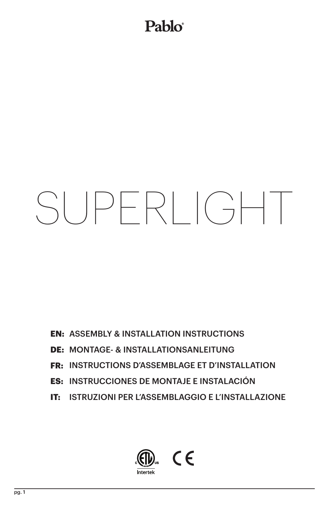### Pablo®

# SUPERLIGHT

- **EN: ASSEMBLY & INSTALLATION INSTRUCTIONS**
- **DE: MONTAGE- & INSTALLATIONSANLEITUNG**
- **FR: INSTRUCTIONS D'ASSEMBLAGE ET D'INSTALLATION**
- INSTRUCCIONES DE MONTAJE E INSTALACIÓN **ES:**
- **IT: ISTRUZIONI PER L'ASSEMBLAGGIO E L'INSTALLAZIONE**

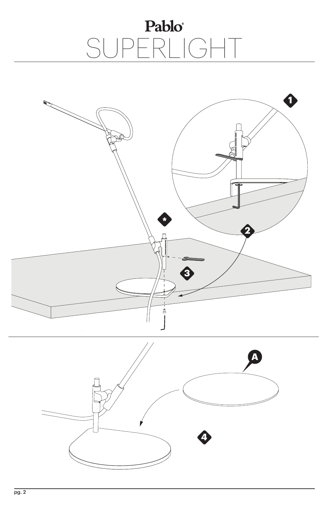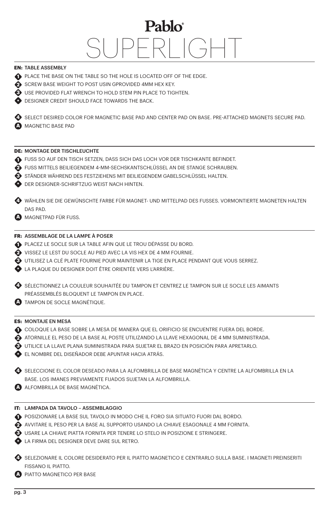### **EN:** TABLE ASSEMBLY

- **PLACE THE BASE ON THE TABLE SO THE HOLE IS LOCATED OFF OF THE EDGE.**
- **3** SCREW BASE WEIGHT TO POST USIN GPROVIDED 4MM HEX KEY.
- USE PROVIDED FLAT WRENCH TO HOLD STEM PIN PLACE TO TIGHTEN. **3**
- DESIGNER CREDIT SHOULD FACE TOWARDS THE BACK. **\***

SELECT DESIRED COLOR FOR MAGNETIC BASE PAD AND CENTER PAD ON BASE. PRE-ATTACHED MAGNETS SECURE PAD. MAGNETIC BASE PAD **A**

### **DE:** MONTAGE DER TISCHLEUCHTE

- FUSS SO AUF DEN TISCH SETZEN, DASS SICH DAS LOCH VOR DER TISCHKANTE BEFINDET. **1**
- FUSS MITTELS BEILIEGENDEM 4-MM-SECHSKANTSCHLÜSSEL AN DIE STANGE SCHRAUBEN. **2**
- STÄNDER WÄHREND DES FESTZIEHENS MIT BEILIEGENDEM GABELSCHLÜSSEL HALTEN. **3**
- DER DESIGNER-SCHRIFTZUG WEIST NACH HINTEN. **\***
- WÄHLEN SIE DIE GEWÜNSCHTE FARBE FÜR MAGNET- UND MITTELPAD DES FUSSES. VORMONTIERTE MAGNETEN HALTEN **4** DAS PAD.
- **A** MAGNETPAD FÜR FUSS.

### **FR:** ASSEMBLAGE DE LA LAMPE À POSER

- PLACEZ LE SOCLE SUR LA TABLE AFIN QUE LE TROU DÉPASSE DU BORD. **1**
- VISSEZ LE LEST DU SOCLE AU PIED AVEC LA VIS HEX DE 4 MM FOURNIE. **2**
- UTILISEZ LA CLÉ PLATE FOURNIE POUR MAINTENIR LA TIGE EN PLACE PENDANT QUE VOUS SERREZ. **3**
- LA PLAQUE DU DESIGNER DOIT ÊTRE ORIENTÉE VERS L'ARRIÈRE. **\***
- $\bullet$  sélectionnez la couleur souhaitée du tampon et centrez le tampon sur le socle les aimants PRÉASSEMBLÉS BLOQUENT LE TAMPON EN PLACE.
- TAMPON DE SOCLE MAGNÉTIQUE. **A**

### **ES:** MONTAJE EN MESA

- COLOQUE LA BASE SOBRE LA MESA DE MANERA QUE EL ORIFICIO SE ENCUENTRE FUERA DEL BORDE. **1**
- ATORNILLE EL PESO DE LA BASE AL POSTE UTILIZANDO LA LLAVE HEXAGONAL DE 4 MM SUMINISTRADA. **2**
- UTILICE LA LLAVE PLANA SUMINISTRADA PARA SUJETAR EL BRAZO EN POSICIÓN PARA APRETARLO. **3**
- EL NOMBRE DEL DISEÑADOR DEBE APUNTAR HACIA ATRÁS. **\***

 $\bullet$  SELECCIONE EL COLOR DESEADO PARA LA ALFOMBRILLA DE BASE MAGNÉTICA Y CENTRE LA ALFOMBRILLA EN LA BASE. LOS IMANES PREVIAMENTE FIJADOS SUJETAN LA ALFOMBRILLA.

ALFOMBRILLA DE BASE MAGNÉTICA. **A**

### **IT:** LAMPADA DA TAVOLO – ASSEMBLAGGIO

- POSIZIONARE LA BASE SUL TAVOLO IN MODO CHE IL FORO SIA SITUATO FUORI DAL BORDO. **1**
- AVVITARE IL PESO PER LA BASE AL SUPPORTO USANDO LA CHIAVE ESAGONALE 4 MM FORNITA. **2**
- USARE LA CHIAVE PIATTA FORNITA PER TENERE LO STELO IN POSIZIONE E STRINGERE. **3**
- LA FIRMA DEL DESIGNER DEVE DARE SUL RETRO. **\***
- SELEZIONARE IL COLORE DESIDERATO PER IL PIATTO MAGNETICO E CENTRARLO SULLA BASE. I MAGNETI PREINSERITI **4** FISSANO IL PIATTO.
- PIATTO MAGNETICO PER BASE **A**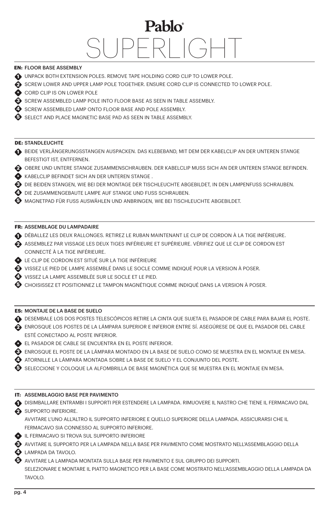### **EN:** FLOOR BASE ASSEMBLY

- UNPACK BOTH EXTENSION POLES. REMOVE TAPE HOLDING CORD CLIP TO LOWER POLE. **1**
- SCREW LOWER AND UPPER LAMP POLE TOGETHER. ENSURE CORD CLIP IS CONNECTED TO LOWER POLE. **2**
- **CORD CLIP IS ON LOWER POLE**
- SCREW ASSEMBLED LAMP POLE INTO FLOOR BASE AS SEEN IN TABLE ASSEMBLY. **3**
- **3** SCREW ASSEMBLED LAMP ONTO FLOOR BASE AND POLE ASSEMBLY.
- SELECT AND PLACE MAGNETIC BASE PAD AS SEEN IN TABLE ASSEMBLY.

### **DE:** STANDLEUCHTE

- BEIDE VERLÄNGERUNGSSTANGEN AUSPACKEN. DAS KLEBEBAND, MIT DEM DER KABELCLIP AN DER UNTEREN STANGE **1** BEFESTIGT IST, ENTFERNEN.
- OBERE UND UNTERE STANGE ZUSAMMENSCHRAUBEN. DER KABELCLIP MUSS SICH AN DER UNTEREN STANGE BEFINDEN. **2**
- KABELCLIP BEFINDET SICH AN DER UNTEREN STANGE . **\***
- DIE BEIDEN STANGEN, WIE BEI DER MONTAGE DER TISCHLEUCHTE ABGEBILDET, IN DEN LAMPENFUSS SCHRAUBEN. **3**
- $\bullet$  DIE ZUSAMMENGEBAUTE LAMPE AUF STANGE UND FUSS SCHRAUBEN.
- $\overline{5}$  magnetpad für Fuss auswählen und Anbringen, wie bei Tischleuchte Abgebildet.

### **FR:** ASSEMBLAGE DU LAMPADAIRE

- DÉBALLEZ LES DEUX RALLONGES. RETIREZ LE RUBAN MAINTENANT LE CLIP DE CORDON À LA TIGE INFÉRIEURE. **1**
- ASSEMBLEZ PAR VISSAGE LES DEUX TIGES INFÉRIEURE ET SUPÉRIEURE. VÉRIFIEZ QUE LE CLIP DE CORDON EST **2** CONNECTÉ À LA TIGE INFÉRIEURE.
- LE CLIP DE CORDON EST SITUÉ SUR LA TIGE INFÉRIEURE **\***
- VISSEZ LE PIED DE LAMPE ASSEMBLÉ DANS LE SOCLE COMME INDIQUÉ POUR LA VERSION À POSER. **3**
- VISSEZ LA LAMPE ASSEMBLÉE SUR LE SOCLE ET LE PIED. **4**
- $\overline{\mathbf{D}}$  choisissez et positionnez le tampon magnétique comme indiqué dans la version à poser.

### **ES:** MONTAJE DE LA BASE DE SUELO

- DESEMBALE LOS DOS POSTES TELESCÓPICOS RETIRE LA CINTA QUE SUJETA EL PASADOR DE CABLE PARA BAJAR EL POSTE. **1**
- ENROSQUE LOS POSTES DE LA LÁMPARA SUPERIOR E INFERIOR ENTRE SÍ. ASEGÚRESE DE QUE EL PASADOR DEL CABLE **2** ESTÉ CONECTADO AL POSTE INFERIOR.
- EL PASADOR DE CABLE SE ENCUENTRA EN EL POSTE INFERIOR. **\***
- ENROSQUE EL POSTE DE LA LÁMPARA MONTADO EN LA BASE DE SUELO COMO SE MUESTRA EN EL MONTAJE EN MESA. **3**
- ATORNILLE LA LÁMPARA MONTADA SOBRE LA BASE DE SUELO Y EL CONJUNTO DEL POSTE. **4**
- SELECCIONE Y COLOQUE LA ALFOMBRILLA DE BASE MAGNÉTICA QUE SE MUESTRA EN EL MONTAJE EN MESA.

### **IT:** ASSEMBLAGGIO BASE PER PAVIMENTO

DISIMBALLARE ENTRAMBI I SUPPORTI PER ESTENDERE LA LAMPADA. RIMUOVERE IL NASTRO CHE TIENE IL FERMACAVO DAL **1**

### **3** SUPPORTO INFERIORE.

AVVITARE L'UNO ALL'ALTRO IL SUPPORTO INFERIORE E QUELLO SUPERIORE DELLA LAMPADA. ASSICURARSI CHE IL FERMACAVO SIA CONNESSO AL SUPPORTO INFERIORE.

- **E** IL FERMACAVO SI TROVA SUL SUPPORTO INFERIORE
- AVVITARE IL SUPPORTO PER LA LAMPADA NELLA BASE PER PAVIMENTO COME MOSTRATO NELL'ASSEMBLAGGIO DELLA **3**
- LAMPADA DA TAVOLO. **4**
- AVVITARE LA LAMPADA MONTATA SULLA BASE PER PAVIMENTO E SUL GRUPPO DEI SUPPORTI. **5**

SELEZIONARE E MONTARE IL PIATTO MAGNETICO PER LA BASE COME MOSTRATO NELL'ASSEMBLAGGIO DELLA LAMPADA DA TAVOLO.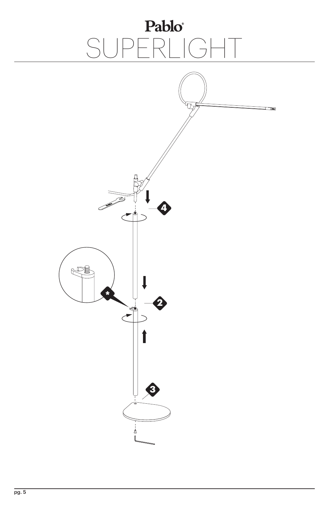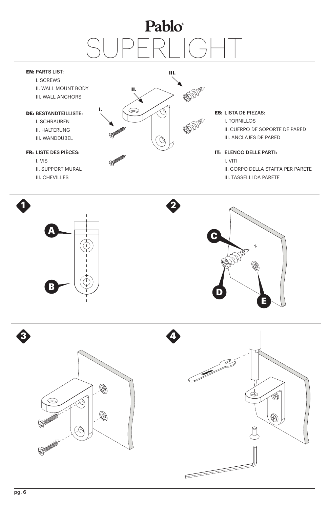#### **EN: PARTS LIST:**

I. SCREWS II. WALL MOUNT BODY III. WALL ANCHORS

#### **DE: BESTANDTEILLISTE:**

I. SCHRAUBEN II. HALTERUNG III. WANDDÜBEL

#### LISTE DES PIÈCES: **FR:**

I. VIS II. SUPPORT MURAL III. CHEVILLES



#### LISTA DE PIEZAS: **ES:**

I. TORNILLOS II. CUERPO DE SOPORTE DE PARED III. ANCLAJES DE PARED

### **IT: ELENCO DELLE PARTI:**

I. VITI II. CORPO DELLA STAFFA PER PARETE

III. TASSELLI DA PARETE

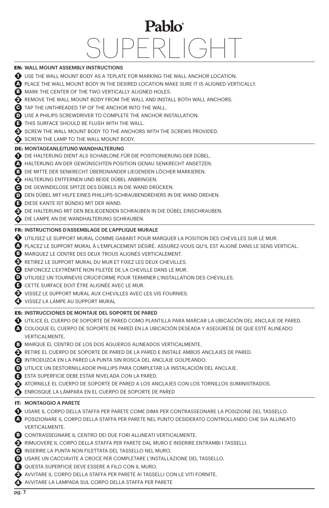### **EN:** WALL MOUNT ASSEMBLY INSTRUCTIONS USE THE WALL MOUNT BODY AS A TEPLATE FOR MARKING THE WALL ANCHOR LOCATION. **1 A** PLACE THE WALL MOUNT BODY IN THE DESIRED LOCATION MAKE SURE IT IS ALIGNED VERTICALLY. **B** MARK THE CENTER OF THE TWO VERTICALLY ALIGNED HOLES. REMOVE THE WALL MOUNT BODY FROM THE WALL AND INSTALL BOTH WALL ANCHORS. **2** TAP THE UNTHREADED TIP OF THE ANCHOR INTO THE WALL. **C D** USE A PHILIPS SCREWDRIVER TO COMPLETE THE ANCHOR INSTALLATION. **E** THIS SURFACE SHOULD BE FLUSH WITH THE WALL. SCREW THE WALL MOUNT BODY TO THE ANCHORS WITH THE SCREWS PROVIDED. SCREW THE LAMP TO THE WALL MOUNT BODY. **DIE HALTERUNG DIENT ALS SCHABLONE FÜR DIE POSITIONIERUNG DER DÜBEL.** HALTERUNG AN DER GEWÜNSCHTEN POSITION GENAU SENKRECHT ANSETZEN. **A** DIE MITTE DER SENKRECHT ÜBEREINANDER LIEGENDEN LÖCHER MARKIEREN. **B** HALTERUNG ENTFERNEN UND BEIDE DÜBEL ANBRINGEN. **2** DIE GEWINDELOSE SPITZE DES DÜBELS IN DIE WAND DRÜCKEN. **C D** DEN DÜBEL MIT HILFE EINES PHILLIPS-SCHRAUBENDREHERS IN DIE WAND DREHEN. DIESE KANTE IST BÜNDIG MIT DER WAND. **E** DIE HALTERUNG MIT DEN BEILIEGENDEN SCHRAUBEN IN DIE DÜBEL EINSCHRAUBEN. **3 4** DIE LAMPE AN DIE WANDHALTERUNG SCHRAUBEN. UTILISEZ LE SUPPORT MURAL COMME GABARIT POUR MARQUER LA POSITION DES CHEVILLES SUR LE MUR. **1** PLACEZ LE SUPPORT MURAL À L'EMPLACEMENT DÉSIRÉ. ASSUREZ-VOUS QU'IL EST ALIGNÉ DANS LE SENS VERTICAL. **A B** MARQUEZ LE CENTRE DES DEUX TROUS ALIGNÉS VERTICALEMENT. RETIREZ LE SUPPORT MURAL DU MUR ET FIXEZ LES DEUX CHEVILLES. **2** ENFONCEZ L'EXTRÉMITÉ NON FILETÉE DE LA CHEVILLE DANS LE MUR. **C D** UTILISEZ UN TOURNEVIS CRUCIFORME POUR TERMINER L'INSTALLATION DES CHEVILLES. CETTE SURFACE DOIT ÊTRE ALIGNÉE AVEC LE MUR. **E** VISSEZ LE SUPPORT MURAL AUX CHEVILLES AVEC LES VIS FOURNIES. **3** VISSEZ LA LAMPE AU SUPPORT MURAL **4** UTILICE EL CUERPO DE SOPORTE DE PARED COMO PLANTILLA PARA MARCAR LA UBICACIÓN DEL ANCLAJE DE PARED. **1** COLOQUE EL CUERPO DE SOPORTE DE PARED EN LA UBICACIÓN DESEADA Y ASEGÚRESE DE QUE ESTÉ ALINEADO **A** VERTICALMENTE. **B** MARQUE EL CENTRO DE LOS DOS AGUJEROS ALINEADOS VERTICALMENTE. RETIRE EL CUERPO DE SOPORTE DE PARED DE LA PARED E INSTALE AMBOS ANCLAJES DE PARED. **2** INTRODUZCA EN LA PARED LA PUNTA SIN ROSCA DEL ANCLAJE GOLPEANDO. **C** UTILICE UN DESTORNILLADOR PHILLIPS PARA COMPLETAR LA INSTALACIÓN DEL ANCLAJE. **D** ESTA SUPERFICIE DEBE ESTAR NIVELADA CON LA PARED. **E** ATORNILLE EL CUERPO DE SOPORTE DE PARED A LOS ANCLAJES CON LOS TORNILLOS SUMINISTRADOS. **3** ENROSQUE LA LÁMPARA EN EL CUERPO DE SOPORTE DE PARED **4** USARE IL CORPO DELLA STAFFA PER PARETE COME DIMA PER CONTRASSEGNARE LA POSIZIONE DEL TASSELLO. **1** POSIZIONARE IL CORPO DELLA STAFFA PER PARETE NEL PUNTO DESIDERATO CONTROLLANDO CHE SIA ALLINEATO **A** VERTICALMENTE. **B** CONTRASSEGNARE IL CENTRO DEI DUE FORI ALLINEATI VERTICALMENTE. RIMUOVERE IL CORPO DELLA STAFFA PER PARETE DAL MURO E INSERIRE ENTRAMBI I TASSELLI. **2** INSERIRE LA PUNTA NON FILETTATA DEL TASSELLO NEL MURO. **C** USARE UN CACCIAVITE A CROCE PER COMPLETARE L'INSTALLAZIONE DEL TASSELLO. **D** QUESTA SUPERFICIE DEVE ESSERE A FILO CON IL MURO. **E**AVVITARE IL CORPO DELLA STAFFA PER PARETE AI TASSELLI CON LE VITI FORNITE. **3** AVVITARE LA LAMPADA SUL CORPO DELLA STAFFA PER PARETE **4 DE:** MONTAGEANLEITUNG WANDHALTERUNG **FR:** INSTRUCTIONS D'ASSEMBLAGE DE L'APPLIQUE MURALE **ES:** INSTRUCCIONES DE MONTAJE DEL SOPORTE DE PARED **IT:** MONTAGGIO A PARETE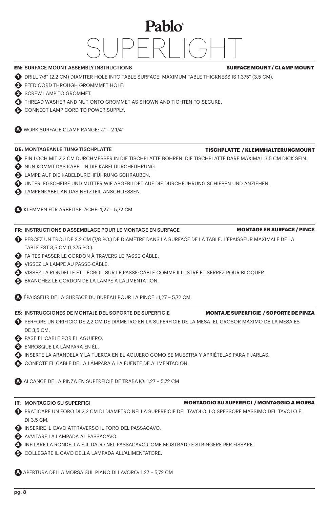### Pablo®  $\Box$

**A** APERTURA DELLA MORSA SUL PIANO DI LAVORO: 1,27 – 5,72 CM

**EN:** SURFACE MOUNT ASSEMBLY INSTRUCTIONS DRILL 7/8" (2.2 CM) DIAMITER HOLE INTO TABLE SURFACE. MAXIMUM TABLE THICKNESS IS 1.375" (3.5 CM). **1**

- **2** FEED CORD THROUGH GROMMMET HOLE.
- SCREW LAMP TO GROMMET.
- **4** THREAD WASHER AND NUT ONTO GROMMET AS SHOWN AND TIGHTEN TO SECURE.
- **6** CONNECT LAMP CORD TO POWER SUPPLY.
- **A** WORK SURFACE CLAMP RANGE: ½" 2 1/4"

### **DE:** MONTAGEANLEITUNG TISCHPLATTE

- $\bigoplus$  ein loch mit 2,2 cm durchmesser in die Tischplatte Bohren. Die Tischplatte darf Maximal 3,5 cm dick sein.
- NUN KOMMT DAS KABEL IN DIE KABELDURCHFÜHRUNG. **2**
- LAMPE AUF DIE KABELDURCHFÜHRUNG SCHRAUBEN. **3**
- UNTERLEGSCHEIBE UND MUTTER WIE ABGEBILDET AUF DIE DURCHFÜHRUNG SCHIEBEN UND ANZIEHEN. **4**
- LAMPENKABEL AN DAS NETZTEIL ANSCHLIESSEN. **5**

**A** KLEMMEN FÜR ARBEITSFLÄCHE: 1,27 – 5,72 CM

### **FR:** INSTRUCTIONS D'ASSEMBLAGE POUR LE MONTAGE EN SURFACE

- PERCEZ UN TROU DE 2,2 CM (7/8 PO.) DE DIAMÈTRE DANS LA SURFACE DE LA TABLE. L'ÉPAISSEUR MAXIMALE DE LA **1** TABLE EST 3,5 CM (1,375 PO.).
- FAITES PASSER LE CORDON À TRAVERS LE PASSE-CÂBLE. **2**
- VISSEZ LA LAMPE AU PASSE-CÂBLE. **3**
- VISSEZ LA RONDELLE ET L'ÉCROU SUR LE PASSE-CÂBLE COMME ILLUSTRÉ ET SERREZ POUR BLOQUER. **4**
- BRANCHEZ LE CORDON DE LA LAMPE À L'ALIMENTATION. **5**
- **A** ÉPAISSEUR DE LA SURFACE DU BUREAU POUR LA PINCE : 1,27 5,72 CM
- **ES:** INSTRUCCIONES DE MONTAJE DEL SOPORTE DE SUPERFICIE
- PERFORE UN ORIFICIO DE 2,2 CM DE DIÁMETRO EN LA SUPERFICIE DE LA MESA. EL GROSOR MÁXIMO DE LA MESA ES **1** DE 3,5 CM.
- PASE EL CABLE POR EL AGUJERO. **2**
- ENROSQUE LA LÁMPARA EN ÉL. **3**
- INSERTE LA ARANDELA Y LA TUERCA EN EL AGUJERO COMO SE MUESTRA Y APRIÉTELAS PARA FIJARLAS. **4**
- CONECTE EL CABLE DE LA LÁMPARA A LA FUENTE DE ALIMENTACIÓN. **5**
- **A** ALCANCE DE LA PINZA EN SUPERFICIE DE TRABAJO: 1,27 5,72 CM
- **IT:** MONTAGGIO SU SUPERFICI
- PRATICARE UN FORO DI 2,2 CM DI DIAMETRO NELLA SUPERFICIE DEL TAVOLO. LO SPESSORE MASSIMO DEL TAVOLO È **1** DI 3,5 CM.
- INSERIRE IL CAVO ATTRAVERSO IL FORO DEL PASSACAVO. **2**
- AVVITARE LA LAMPADA AL PASSACAVO. **3**
- INFILARE LA RONDELLA E IL DADO NEL PASSACAVO COME MOSTRATO E STRINGERE PER FISSARE. **4**
- COLLEGARE IL CAVO DELLA LAMPADA ALL'ALIMENTATORE. **5**

**MONTAGE EN SURFACE / PINCE**

**MONTAJE SUPERFICIE / SOPORTE DE PINZA**

**MONTAGGIO SU SUPERFICI / MONTAGGIO A MORSA**

**SURFACE MOUNT / CLAMP MOUNT**

**TISCHPLATTE / KLEMMHALTERUNGMOUNT**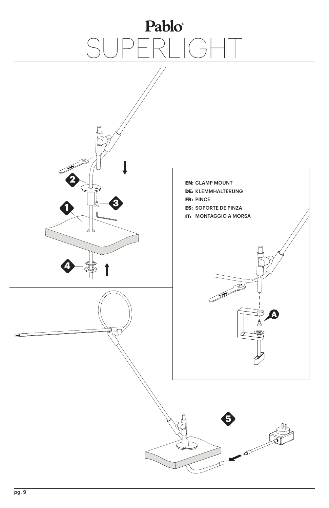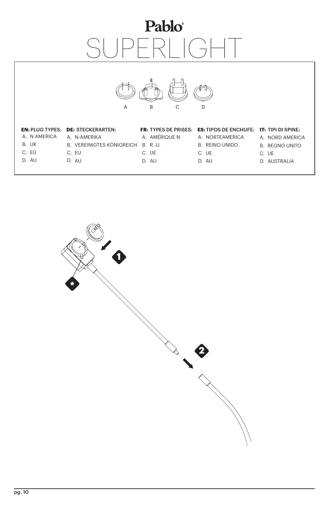# Pablo® SI IGHT



### **EN:** PLUG TYPES: STECKERARTEN: **DE:**

- A.N AMERICA A.N-AMERIKA
- UK B.
- C. EU
- AU D.
- VEREINIGTES KÖNIGREICH B. R.-U. B.
- C. EU
	- D. AU
- A. AMÉRIQUE N
- 
- C. UE
- AU D.

### **FR:** TYPES DE PRISES: **ES:** TIPOS DE ENCHUFE: **IT:** TIPI DI SPINE:

- A. NORTEAMERICA
- B. REINO UNIDO
	-
- C. UE
- D. AU
- 
- A. NORD AMERICA
- **B. REGNO UNITO**
- C. UE
- D. AUSTRALIA

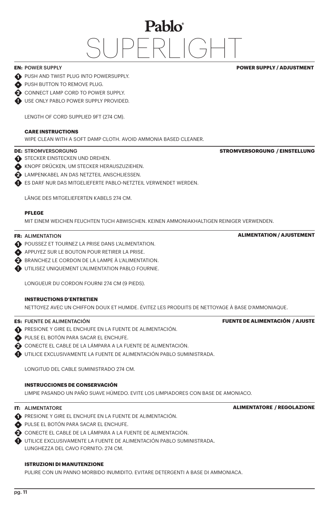### **EN:** POWER SUPPLY

#### **POWER SUPPLY / ADJUSTMENT**

**STROMVERSORGUNG / EINSTELLUNG**

- **1** PUSH AND TWIST PLUG INTO POWERSUPPLY.
- **PUSH BUTTON TO REMOVE PLUG.**
- **2** CONNECT LAMP CORD TO POWER SUPPLY.
- USE ONLY PABLO POWER SUPPLY PROVIDED. **!**

LENGTH OF CORD SUPPLIED 9FT (274 CM).

#### **CARE INSTRUCTIONS**

WIPE CLEAN WITH A SOFT DAMP CLOTH. AVOID AMMONIA BASED CLEANER.

### **DE:** STROMVERSORGUNG

- STECKER EINSTECKEN UND DREHEN.
- KNOPF DRÜCKEN, UM STECKER HERAUSZUZIEHEN. **\***
- LAMPENKABEL AN DAS NETZTEIL ANSCHLIESSEN. **2**
- ES DARF NUR DAS MITGELIEFERTE PABLO-NETZTEIL VERWENDET WERDEN. **!**

LÄNGE DES MITGELIEFERTEN KABELS 274 CM.

#### **PFLEGE**

MIT EINEM WEICHEN FEUCHTEN TUCH ABWISCHEN. KEINEN AMMONIAKHALTIGEN REINIGER VERWENDEN.

### **FR:** ALIMENTATION

- **1** POUSSEZ ET TOURNEZ LA PRISE DANS L'ALIMENTATION.
- APPUYEZ SUR LE BOUTON POUR RETIRER LA PRISE. **\***
- BRANCHEZ LE CORDON DE LA LAMPE À L'ALIMENTATION. **2**
- UTILISEZ UNIQUEMENT L'ALIMENTATION PABLO FOURNIE. **!**

LONGUEUR DU CORDON FOURNI 274 CM (9 PIEDS).

#### **INSTRUCTIONS D'ENTRETIEN**

NETTOYEZ AVEC UN CHIFFON DOUX ET HUMIDE. ÉVITEZ LES PRODUITS DE NETTOYAGE À BASE D'AMMONIAQUE.

#### **ES:** FUENTE DE ALIMENTACIÓN

- **PRESIONE Y GIRE EL ENCHUFE EN LA FUENTE DE ALIMENTACIÓN.**
- PULSE EL BOTÓN PARA SACAR EL ENCHUFE. **\***
- CONECTE EL CABLE DE LA LÁMPARA A LA FUENTE DE ALIMENTACIÓN. **2**
- UTILICE EXCLUSIVAMENTE LA FUENTE DE ALIMENTACIÓN PABLO SUMINISTRADA. **!**

LONGITUD DEL CABLE SUMINISTRADO 274 CM.

### **INSTRUCCIONES DE CONSERVACIÓN**

LIMPIE PASANDO UN PAÑO SUAVE HÚMEDO. EVITE LOS LIMPIADORES CON BASE DE AMONIACO.

#### **IT:** ALIMENTATORE

- **PRESIONE Y GIRE EL ENCHUFE EN LA FUENTE DE ALIMENTACIÓN.**
- PULSE EL BOTÓN PARA SACAR EL ENCHUFE. **\***
- CONECTE EL CABLE DE LA LÁMPARA A LA FUENTE DE ALIMENTACIÓN. **2**
- UTILICE EXCLUSIVAMENTE LA FUENTE DE ALIMENTACIÓN PABLO SUMINISTRADA. **!** LUNGHEZZA DEL CAVO FORNITO: 274 CM.

### **ISTRUZIONI DI MANUTENZIONE**

PULIRE CON UN PANNO MORBIDO INUMIDITO. EVITARE DETERGENTI A BASE DI AMMONIACA.

### **ALIMENTATION / AJUSTEMENT**

**ALIMENTATORE / REGOLAZIONE**

**FUENTE DE ALIMENTACIÓN / AJUSTE**

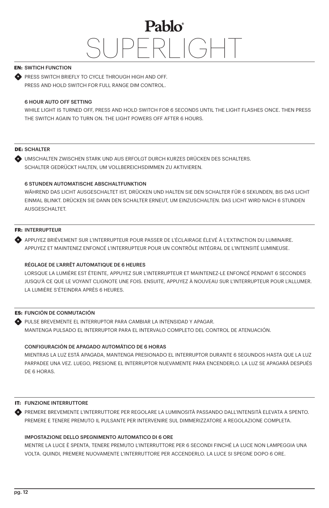### **EN:** SWTICH FUNCTION

**PRESS SWITCH BRIEFLY TO CYCLE THROUGH HIGH AND OFF.** PRESS AND HOLD SWITCH FOR FULL RANGE DIM CONTROL.

### 6 HOUR AUTO OFF SETTING

WHILE LIGHT IS TURNED OFF, PRESS AND HOLD SWITCH FOR 6 SECONDS UNTIL THE LIGHT FLASHES ONCE. THEN PRESS THE SWITCH AGAIN TO TURN ON. THE LIGHT POWERS OFF AFTER 6 HOURS.

### **DE:** SCHALTER

UMSCHALTEN ZWISCHEN STARK UND AUS ERFOLGT DURCH KURZES DRÜCKEN DES SCHALTERS. **\*** SCHALTER GEDRÜCKT HALTEN, UM VOLLBEREICHSDIMMEN ZU AKTIVIEREN.

### 6 STUNDEN AUTOMATISCHE ABSCHALTFUNKTION

WÄHREND DAS LICHT AUSGESCHALTET IST, DRÜCKEN UND HALTEN SIE DEN SCHALTER FÜR 6 SEKUNDEN, BIS DAS LICHT EINMAL BLINKT. DRÜCKEN SIE DANN DEN SCHALTER ERNEUT, UM EINZUSCHALTEN. DAS LICHT WIRD NACH 6 STUNDEN AUSGESCHALTET.

### **FR:** INTERRUPTEUR

APPUYEZ BRIÈVEMENT SUR L'INTERRUPTEUR POUR PASSER DE L'ÉCLAIRAGE ÉLEVÉ À L'EXTINCTION DU LUMINAIRE. **\*** APPUYEZ ET MAINTENEZ ENFONCÉ L'INTERRUPTEUR POUR UN CONTRÔLE INTÉGRAL DE L'INTENSITÉ LUMINEUSE.

### RÉGLAGE DE L'ARRÊT AUTOMATIQUE DE 6 HEURES

LORSQUE LA LUMIÈRE EST ÉTEINTE, APPUYEZ SUR L'INTERRUPTEUR ET MAINTENEZ-LE ENFONCÉ PENDANT 6 SECONDES JUSQU'À CE QUE LE VOYANT CLIGNOTE UNE FOIS. ENSUITE, APPUYEZ À NOUVEAU SUR L'INTERRUPTEUR POUR L'ALLUMER. LA LUMIÈRE S'ÉTEINDRA APRÈS 6 HEURES.

### **ES:** FUNCIÓN DE CONMUTACIÓN

PULSE BREVEMENTE EL INTERRUPTOR PARA CAMBIAR LA INTENSIDAD Y APAGAR. **\*** MANTENGA PULSADO EL INTERRUPTOR PARA EL INTERVALO COMPLETO DEL CONTROL DE ATENUACIÓN.

### CONFIGURACIÓN DE APAGADO AUTOMÁTICO DE 6 HORAS

MIENTRAS LA LUZ ESTÁ APAGADA, MANTENGA PRESIONADO EL INTERRUPTOR DURANTE 6 SEGUNDOS HASTA QUE LA LUZ PARPADEE UNA VEZ. LUEGO, PRESIONE EL INTERRUPTOR NUEVAMENTE PARA ENCENDERLO. LA LUZ SE APAGARÁ DESPUÉS DE 6 HORAS.

### **IT: FUNZIONE INTERRUTTORE**

PREMERE BREVEMENTE L'INTERRUTTORE PER REGOLARE LA LUMINOSITÀ PASSANDO DALL'INTENSITÀ ELEVATA A SPENTO. **\*** PREMERE E TENERE PREMUTO IL PULSANTE PER INTERVENIRE SUL DIMMERIZZATORE A REGOLAZIONE COMPLETA.

### IMPOSTAZIONE DELLO SPEGNIMENTO AUTOMATICO DI 6 ORE

MENTRE LA LUCE È SPENTA, TENERE PREMUTO L'INTERRUTTORE PER 6 SECONDI FINCHÉ LA LUCE NON LAMPEGGIA UNA VOLTA. QUINDI, PREMERE NUOVAMENTE L'INTERRUTTORE PER ACCENDERLO. LA LUCE SI SPEGNE DOPO 6 ORE.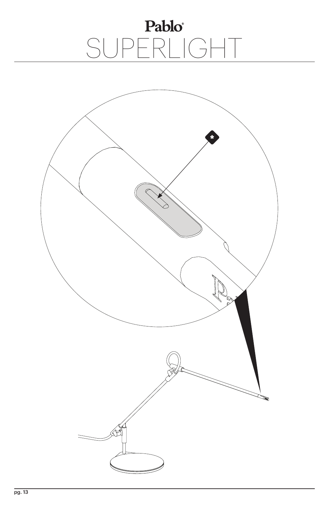# Pablo<sup>\*</sup><br>SUPERLIGHT

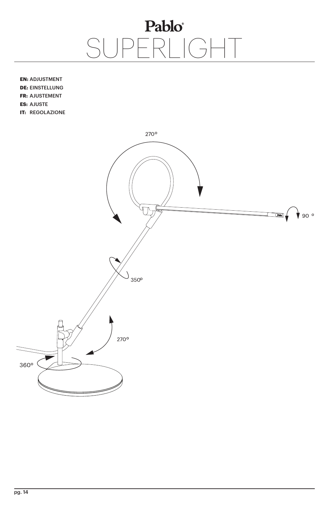**EN: ADJUSTMENT DE: EINSTELLUNG FR: AJUSTEMENT ES: AJUSTE IT: REGOLAZIONE** 

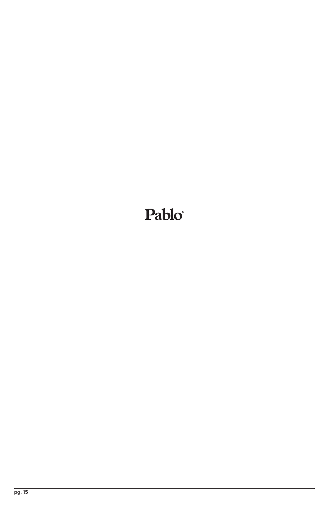### Pablo®